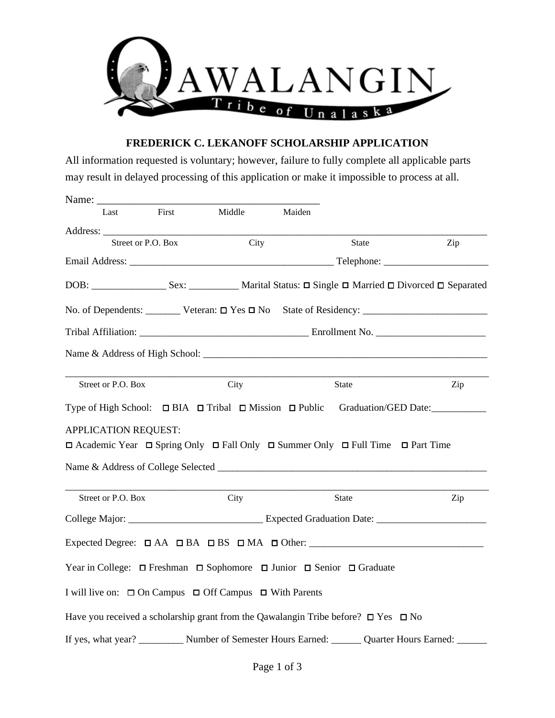

## **FREDERICK C. LEKANOFF SCHOLARSHIP APPLICATION**

All information requested is voluntary; however, failure to fully complete all applicable parts may result in delayed processing of this application or make it impossible to process at all.

| Name: $\frac{ }{ }$         |                    |       |                                                                                                               |        |                      |  |     |
|-----------------------------|--------------------|-------|---------------------------------------------------------------------------------------------------------------|--------|----------------------|--|-----|
| Last                        |                    | First | Middle                                                                                                        | Maiden |                      |  |     |
|                             |                    |       |                                                                                                               |        |                      |  |     |
|                             | Street or P.O. Box |       | City                                                                                                          |        | State                |  | Zip |
|                             |                    |       |                                                                                                               |        |                      |  |     |
|                             |                    |       |                                                                                                               |        |                      |  |     |
|                             |                    |       |                                                                                                               |        |                      |  |     |
|                             |                    |       |                                                                                                               |        |                      |  |     |
|                             |                    |       |                                                                                                               |        |                      |  |     |
|                             |                    |       |                                                                                                               |        |                      |  |     |
| Street or P.O. Box          |                    |       | City                                                                                                          |        | State                |  | Zip |
|                             |                    |       | Type of High School: $\Box$ BIA $\Box$ Tribal $\Box$ Mission $\Box$ Public                                    |        | Graduation/GED Date: |  |     |
| <b>APPLICATION REQUEST:</b> |                    |       |                                                                                                               |        |                      |  |     |
|                             |                    |       | $\Box$ Academic Year $\Box$ Spring Only $\Box$ Fall Only $\Box$ Summer Only $\Box$ Full Time $\Box$ Part Time |        |                      |  |     |
|                             |                    |       |                                                                                                               |        |                      |  |     |
|                             |                    |       |                                                                                                               |        |                      |  |     |
| Street or P.O. Box          |                    |       | City                                                                                                          |        | State                |  | Zip |
|                             |                    |       |                                                                                                               |        |                      |  |     |
|                             |                    |       |                                                                                                               |        |                      |  |     |
|                             |                    |       | Year in College: □ Freshman □ Sophomore □ Junior □ Senior □ Graduate                                          |        |                      |  |     |
|                             |                    |       | I will live on: □ On Campus □ Off Campus □ With Parents                                                       |        |                      |  |     |
|                             |                    |       | Have you received a scholarship grant from the Qawalangin Tribe before? $\square$ Yes $\square$ No            |        |                      |  |     |
|                             |                    |       | If yes, what year? __________ Number of Semester Hours Earned: _______ Quarter Hours Earned: ______           |        |                      |  |     |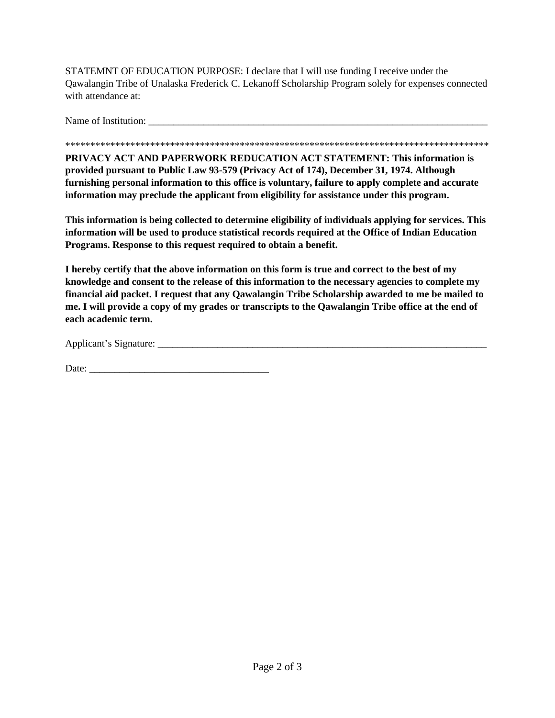STATEMNT OF EDUCATION PURPOSE: I declare that I will use funding I receive under the Qawalangin Tribe of Unalaska Frederick C. Lekanoff Scholarship Program solely for expenses connected with attendance at:

Name of Institution: \_\_\_\_\_\_\_\_\_\_\_\_\_\_\_\_\_\_\_\_\_\_\_\_\_\_\_\_\_\_\_\_\_\_\_\_\_\_\_\_\_\_\_\_\_\_\_\_\_\_\_\_\_\_\_\_\_\_\_\_\_\_\_\_\_\_\_\_

## \*\*\*\*\*\*\*\*\*\*\*\*\*\*\*\*\*\*\*\*\*\*\*\*\*\*\*\*\*\*\*\*\*\*\*\*\*\*\*\*\*\*\*\*\*\*\*\*\*\*\*\*\*\*\*\*\*\*\*\*\*\*\*\*\*\*\*\*\*\*\*\*\*\*\*\*\*\*\*\*\*\*\*\*\*

**PRIVACY ACT AND PAPERWORK REDUCATION ACT STATEMENT: This information is provided pursuant to Public Law 93-579 (Privacy Act of 174), December 31, 1974. Although furnishing personal information to this office is voluntary, failure to apply complete and accurate information may preclude the applicant from eligibility for assistance under this program.** 

**This information is being collected to determine eligibility of individuals applying for services. This information will be used to produce statistical records required at the Office of Indian Education Programs. Response to this request required to obtain a benefit.** 

**I hereby certify that the above information on this form is true and correct to the best of my knowledge and consent to the release of this information to the necessary agencies to complete my financial aid packet. I request that any Qawalangin Tribe Scholarship awarded to me be mailed to me. I will provide a copy of my grades or transcripts to the Qawalangin Tribe office at the end of each academic term.** 

Applicant's Signature: \_\_\_\_\_\_\_\_\_\_\_\_\_\_\_\_\_\_\_\_\_\_\_\_\_\_\_\_\_\_\_\_\_\_\_\_\_\_\_\_\_\_\_\_\_\_\_\_\_\_\_\_\_\_\_\_\_\_\_\_\_\_\_\_\_\_

Date: \_\_\_\_\_\_\_\_\_\_\_\_\_\_\_\_\_\_\_\_\_\_\_\_\_\_\_\_\_\_\_\_\_\_\_\_